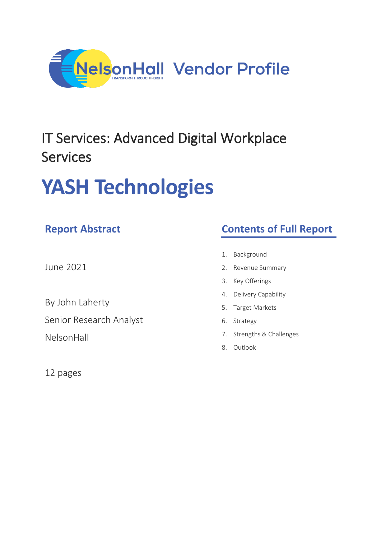

## IT Services: Advanced Digital Workplace Services

# **YASH Technologies**

## **Report Abstract**

June 2021

By John Laherty

Senior Research Analyst

NelsonHall

12 pages

## **Contents of Full Report**

- 1. Background
- 2. Revenue Summary
- 3. Key Offerings
- 4. Delivery Capability
- 5. Target Markets
- 6. Strategy
- 7. Strengths & Challenges
- 8. Outlook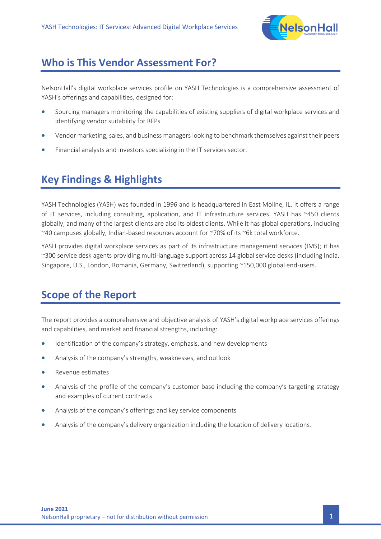

#### **Who is This Vendor Assessment For?**

NelsonHall's digital workplace services profile on YASH Technologies is a comprehensive assessment of YASH's offerings and capabilities, designed for:

- Sourcing managers monitoring the capabilities of existing suppliers of digital workplace services and identifying vendor suitability for RFPs
- Vendor marketing, sales, and business managers looking to benchmark themselves against their peers
- Financial analysts and investors specializing in the IT services sector.

### **Key Findings & Highlights**

YASH Technologies (YASH) was founded in 1996 and is headquartered in East Moline, IL. It offers a range of IT services, including consulting, application, and IT infrastructure services. YASH has ~450 clients globally, and many of the largest clients are also its oldest clients. While it has global operations, including ~40 campuses globally, Indian-based resources account for ~70% of its ~6k total workforce.

YASH provides digital workplace services as part of its infrastructure management services (IMS); it has ~300 service desk agents providing multi-language support across 14 global service desks (including India, Singapore, U.S., London, Romania, Germany, Switzerland), supporting ~150,000 global end-users.

## **Scope of the Report**

The report provides a comprehensive and objective analysis of YASH's digital workplace services offerings and capabilities, and market and financial strengths, including:

- Identification of the company's strategy, emphasis, and new developments
- Analysis of the company's strengths, weaknesses, and outlook
- Revenue estimates
- Analysis of the profile of the company's customer base including the company's targeting strategy and examples of current contracts
- Analysis of the company's offerings and key service components
- Analysis of the company's delivery organization including the location of delivery locations.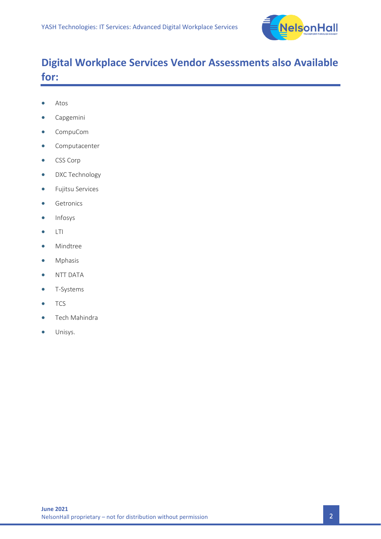

## **Digital Workplace Services Vendor Assessments also Available for:**

- Atos
- Capgemini
- CompuCom
- Computacenter
- CSS Corp
- DXC Technology
- Fujitsu Services
- Getronics
- Infosys
- LTI
- Mindtree
- Mphasis
- NTT DATA
- T-Systems
- TCS
- Tech Mahindra
- Unisys.